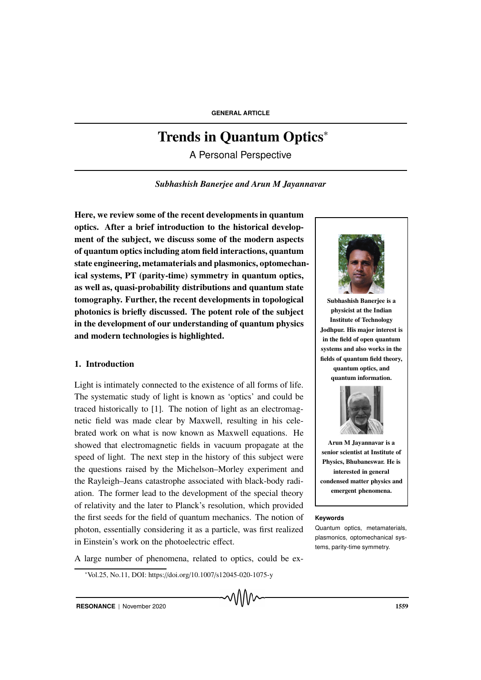# Trends in Quantum Optics<sup>∗</sup>

A Personal Perspective

*Subhashish Banerjee and Arun M Jayannavar*

Here, we review some of the recent developments in quantum optics. After a brief introduction to the historical development of the subject, we discuss some of the modern aspects of quantum optics including atom field interactions, quantum state engineering, metamaterials and plasmonics, optomechanical systems, PT (parity-time) symmetry in quantum optics, as well as, quasi-probability distributions and quantum state tomography. Further, the recent developments in topological photonics is briefly discussed. The potent role of the subject in the development of our understanding of quantum physics and modern technologies is highlighted.

## 1. Introduction

Light is intimately connected to the existence of all forms of life. The systematic study of light is known as 'optics' and could be traced historically to [1]. The notion of light as an electromagnetic field was made clear by Maxwell, resulting in his celebrated work on what is now known as Maxwell equations. He showed that electromagnetic fields in vacuum propagate at the speed of light. The next step in the history of this subject were the questions raised by the Michelson–Morley experiment and the Rayleigh–Jeans catastrophe associated with black-body radiation. The former lead to the development of the special theory of relativity and the later to Planck's resolution, which provided the first seeds for the field of quantum mechanics. The notion of **Keywords** photon, essentially considering it as a particle, was first realized in Einstein's work on the photoelectric effect.



<sup>∗</sup>Vol.25, No.11, DOI: https://doi.org/10.1007/s12045-020-1075-y





Subhashish Banerjee is a physicist at the Indian Institute of Technology Jodhpur. His major interest is in the field of open quantum systems and also works in the fields of quantum field theory, quantum optics, and quantum information.



Arun M Jayannavar is a senior scientist at Institute of Physics, Bhubaneswar. He is interested in general condensed matter physics and emergent phenomena.

Quantum optics, metamaterials, plasmonics, optomechanical systems, parity-time symmetry.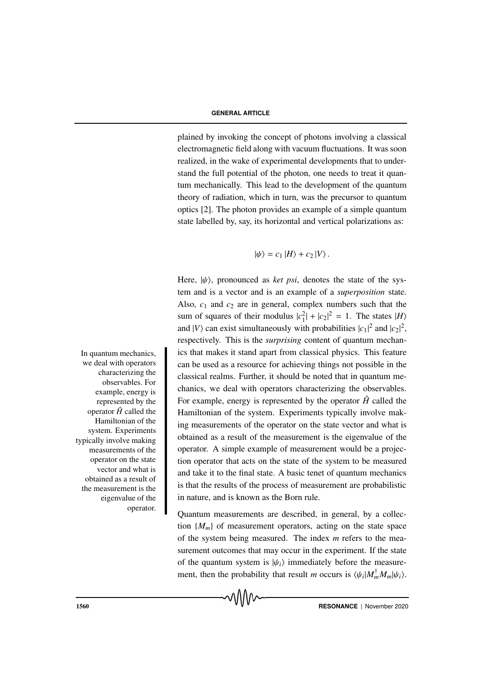plained by invoking the concept of photons involving a classical electromagnetic field along with vacuum fluctuations. It was soon realized, in the wake of experimental developments that to understand the full potential of the photon, one needs to treat it quantum mechanically. This lead to the development of the quantum theory of radiation, which in turn, was the precursor to quantum optics [2]. The photon provides an example of a simple quantum state labelled by, say, its horizontal and vertical polarizations as:

$$
|\psi\rangle = c_1 |H\rangle + c_2 |V\rangle.
$$

Here,  $|\psi\rangle$ , pronounced as *ket psi*, denotes the state of the system and is a vector and is an example of a *superposition* state. Also, *c*<sup>1</sup> and *c*<sup>2</sup> are in general, complex numbers such that the sum of squares of their modulus  $|c_1|^2 + |c_2|^2 = 1$ . The states  $|H\rangle$ and  $|V\rangle$  can exist simultaneously with probabilities  $|c_1|^2$  and  $|c_2|^2$ , respectively. This is the *surprising* content of quantum mechanics that makes it stand apart from classical physics. This feature can be used as a resource for achieving things not possible in the classical realms. Further, it should be noted that in quantum mechanics, we deal with operators characterizing the observables. For example, energy is represented by the operator  $\hat{H}$  called the Hamiltonian of the system. Experiments typically involve making measurements of the operator on the state vector and what is obtained as a result of the measurement is the eigenvalue of the operator. A simple example of measurement would be a projection operator that acts on the state of the system to be measured and take it to the final state. A basic tenet of quantum mechanics is that the results of the process of measurement are probabilistic in nature, and is known as the Born rule.

Quantum measurements are described, in general, by a collection  ${M_m}$  of measurement operators, acting on the state space of the system being measured. The index *m* refers to the measurement outcomes that may occur in the experiment. If the state of the quantum system is  $|\psi_i\rangle$  immediately before the measurement, then the probability that result *m* occurs is  $\langle \psi_i | M_m^{\dagger} M_m | \psi_i \rangle$ .

characterizing the observables. For example, energy is represented by the operator  $\hat{H}$  called the Hamiltonian of the system. Experiments typically involve making measurements of the operator on the state vector and what is obtained as a result of the measurement is the eigenvalue of the operator.

In quantum mechanics, we deal with operators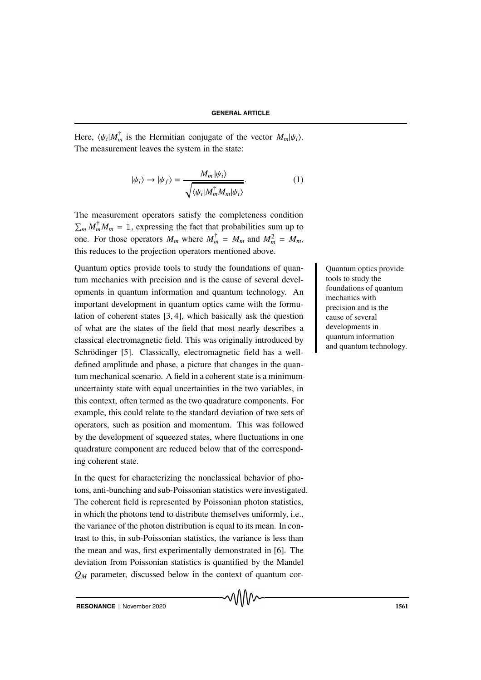Here,  $\langle \psi_i | M_m^{\dagger} \rangle$  is the Hermitian conjugate of the vector  $M_m | \psi_i \rangle$ . The measurement leaves the system in the state:

$$
|\psi_i\rangle \to |\psi_f\rangle = \frac{M_m |\psi_i\rangle}{\sqrt{\langle \psi_i | M_m^\dagger M_m | \psi_i \rangle}}.
$$
 (1)

The measurement operators satisfy the completeness condition  $\sum_m M_m^{\dagger} M_m = \mathbb{1}$ , expressing the fact that probabilities sum up to one. For those operators  $M_m$  where  $M_m^{\dagger} = M_m$  and  $M_m^2 = M_m$ , this reduces to the projection operators mentioned above.

Quantum optics provide tools to study the foundations of quan- Quantum optics provide tum mechanics with precision and is the cause of several developments in quantum information and quantum technology. An important development in quantum optics came with the formulation of coherent states [3, 4], which basically ask the question of what are the states of the field that most nearly describes a classical electromagnetic field. This was originally introduced by Schrödinger [5]. Classically, electromagnetic field has a welldefined amplitude and phase, a picture that changes in the quantum mechanical scenario. A field in a coherent state is a minimumuncertainty state with equal uncertainties in the two variables, in this context, often termed as the two quadrature components. For example, this could relate to the standard deviation of two sets of operators, such as position and momentum. This was followed by the development of squeezed states, where fluctuations in one quadrature component are reduced below that of the corresponding coherent state.

In the quest for characterizing the nonclassical behavior of photons, anti-bunching and sub-Poissonian statistics were investigated. The coherent field is represented by Poissonian photon statistics, in which the photons tend to distribute themselves uniformly, i.e., the variance of the photon distribution is equal to its mean. In contrast to this, in sub-Poissonian statistics, the variance is less than the mean and was, first experimentally demonstrated in [6]. The deviation from Poissonian statistics is quantified by the Mandel *Q<sup>M</sup>* parameter, discussed below in the context of quantum cortools to study the foundations of quantum mechanics with precision and is the cause of several developments in quantum information and quantum technology.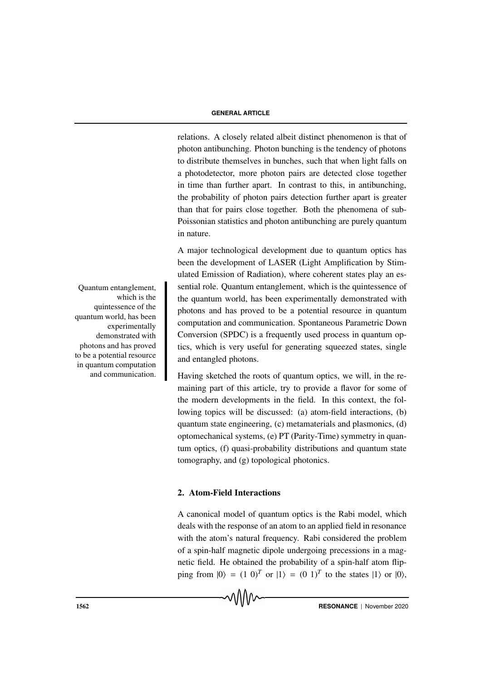relations. A closely related albeit distinct phenomenon is that of photon antibunching. Photon bunching is the tendency of photons to distribute themselves in bunches, such that when light falls on a photodetector, more photon pairs are detected close together in time than further apart. In contrast to this, in antibunching, the probability of photon pairs detection further apart is greater than that for pairs close together. Both the phenomena of sub-Poissonian statistics and photon antibunching are purely quantum in nature.

A major technological development due to quantum optics has been the development of LASER (Light Amplification by Stimulated Emission of Radiation), where coherent states play an essential role. Quantum entanglement, which is the quintessence of the quantum world, has been experimentally demonstrated with photons and has proved to be a potential resource in quantum computation and communication. Spontaneous Parametric Down Conversion (SPDC) is a frequently used process in quantum optics, which is very useful for generating squeezed states, single and entangled photons.

Having sketched the roots of quantum optics, we will, in the remaining part of this article, try to provide a flavor for some of the modern developments in the field. In this context, the following topics will be discussed: (a) atom-field interactions, (b) quantum state engineering, (c) metamaterials and plasmonics, (d) optomechanical systems, (e) PT (Parity-Time) symmetry in quantum optics, (f) quasi-probability distributions and quantum state tomography, and (g) topological photonics.

# 2. Atom-Field Interactions

A canonical model of quantum optics is the Rabi model, which deals with the response of an atom to an applied field in resonance with the atom's natural frequency. Rabi considered the problem of a spin-half magnetic dipole undergoing precessions in a magnetic field. He obtained the probability of a spin-half atom flipping from  $|0\rangle = (1 \ 0)^T$  or  $|1\rangle = (0 \ 1)^T$  to the states  $|1\rangle$  or  $|0\rangle$ ,

Quantum entanglement, which is the quintessence of the quantum world, has been experimentally demonstrated with photons and has proved to be a potential resource in quantum computation and communication.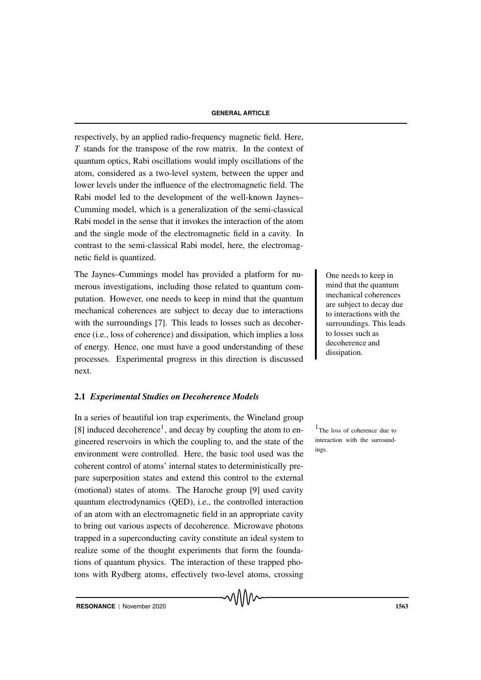respectively, by an applied radio-frequency magnetic field. Here, *T* stands for the transpose of the row matrix. In the context of quantum optics, Rabi oscillations would imply oscillations of the atom, considered as a two-level system, between the upper and lower levels under the influence of the electromagnetic field. The Rabi model led to the development of the well-known Jaynes– Cumming model, which is a generalization of the semi-classical Rabi model in the sense that it invokes the interaction of the atom and the single mode of the electromagnetic field in a cavity. In contrast to the semi-classical Rabi model, here, the electromagnetic field is quantized.

The Jaynes–Cummings model has provided a platform for nu-<br>
One needs to keep in merous investigations, including those related to quantum computation. However, one needs to keep in mind that the quantum mechanical coherences are subject to decay due to interactions with the surroundings [7]. This leads to losses such as decoherence (i.e., loss of coherence) and dissipation, which implies a loss of energy. Hence, one must have a good understanding of these processes. Experimental progress in this direction is discussed next.

#### 2.1 *Experimental Studies on Decoherence Models*

In a series of beautiful ion trap experiments, the Wineland group [8] induced decoherence<sup>1</sup>, and decay by coupling the atom to en- $\frac{1}{2}$ gineered reservoirs in which the coupling to, and the state of the environment were controlled. Here, the basic tool used was the coherent control of atoms' internal states to deterministically prepare superposition states and extend this control to the external (motional) states of atoms. The Haroche group [9] used cavity quantum electrodynamics (QED), i.e., the controlled interaction of an atom with an electromagnetic field in an appropriate cavity to bring out various aspects of decoherence. Microwave photons trapped in a superconducting cavity constitute an ideal system to realize some of the thought experiments that form the foundations of quantum physics. The interaction of these trapped photons with Rydberg atoms, effectively two-level atoms, crossing

mind that the quantum mechanical coherences are subject to decay due to interactions with the surroundings. This leads to losses such as decoherence and dissipation.

 $1$ The loss of coherence due to interaction with the surroundings.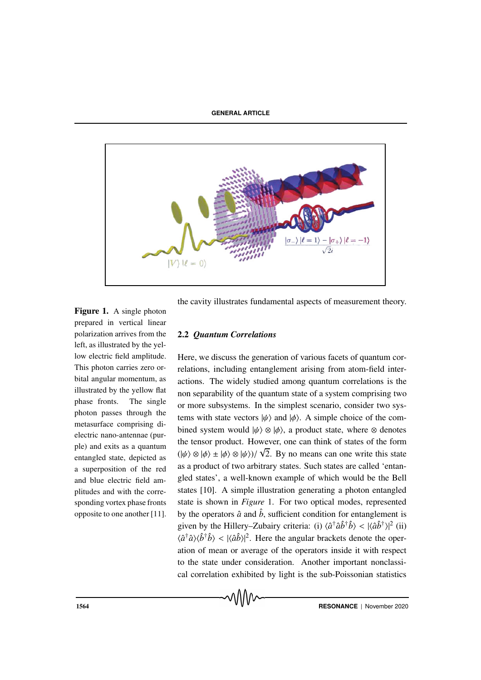

the cavity illustrates fundamental aspects of measurement theory.

Figure 1. A single photon prepared in vertical linear polarization arrives from the left, as illustrated by the yellow electric field amplitude. This photon carries zero orbital angular momentum, as illustrated by the yellow flat phase fronts. The single photon passes through the metasurface comprising dielectric nano-antennae (purple) and exits as a quantum entangled state, depicted as a superposition of the red and blue electric field amplitudes and with the corresponding vortex phase fronts opposite to one another [11].

#### 2.2 *Quantum Correlations*

᠕᠕᠕᠕

Here, we discuss the generation of various facets of quantum correlations, including entanglement arising from atom-field interactions. The widely studied among quantum correlations is the non separability of the quantum state of a system comprising two or more subsystems. In the simplest scenario, consider two systems with state vectors  $|\psi\rangle$  and  $|\phi\rangle$ . A simple choice of the combined system would  $|\psi\rangle \otimes |\phi\rangle$ , a product state, where  $\otimes$  denotes the tensor product. However, one can think of states of the form  $(|\psi\rangle \otimes |\phi\rangle \pm |\phi\rangle \otimes |\psi\rangle)/\sqrt{2}$ . By no means can one write this state as a product of two arbitrary states. Such states are called 'entangled states', a well-known example of which would be the Bell states [10]. A simple illustration generating a photon entangled state is shown in *Figure* 1. For two optical modes, represented by the operators  $\hat{a}$  and  $\hat{b}$ , sufficient condition for entanglement is given by the Hillery–Zubairy criteria: (i)  $\langle \hat{a}^\dagger \hat{a} \hat{b}^\dagger \hat{b} \rangle < |\langle \hat{a} \hat{b}^\dagger \rangle|^2$  (ii)  $\langle \hat{a}^\dagger \hat{a} \rangle \langle \hat{b}^\dagger \hat{b} \rangle$  <  $|\langle \hat{a} \hat{b} \rangle|^2$ . Here the angular brackets denote the operation of mean or average of the operators inside it with respect to the state under consideration. Another important nonclassical correlation exhibited by light is the sub-Poissonian statistics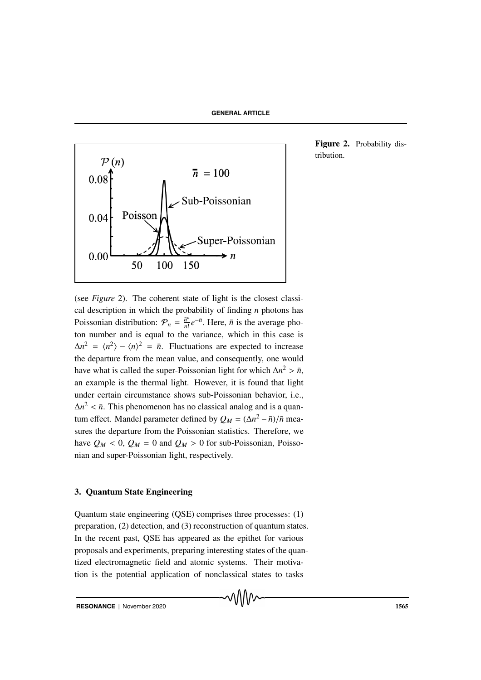

Figure 2. Probability distribution.

(see *Figure* 2). The coherent state of light is the closest classical description in which the probability of finding *n* photons has Poissonian distribution:  $P_n = \frac{\bar{n}^n}{n!}$  $\frac{\bar{n}^n}{n!}e^{-\bar{n}}$ . Here,  $\bar{n}$  is the average photon number and is equal to the variance, which in this case is  $\Delta n^2 = \langle n^2 \rangle - \langle n \rangle^2 = \bar{n}$ . Fluctuations are expected to increase the departure from the mean value, and consequently, one would have what is called the super-Poissonian light for which  $\Delta n^2 > \bar{n}$ , an example is the thermal light. However, it is found that light under certain circumstance shows sub-Poissonian behavior, i.e.,  $\Delta n^2 < \bar{n}$ . This phenomenon has no classical analog and is a quantum effect. Mandel parameter defined by  $Q_M = (\Delta n^2 - \bar{n})/\bar{n}$  measures the departure from the Poissonian statistics. Therefore, we have  $Q_M < 0$ ,  $Q_M = 0$  and  $Q_M > 0$  for sub-Poissonian, Poissonian and super-Poissonian light, respectively.

# 3. Quantum State Engineering

Quantum state engineering (QSE) comprises three processes: (1) preparation, (2) detection, and (3) reconstruction of quantum states. In the recent past, QSE has appeared as the epithet for various proposals and experiments, preparing interesting states of the quantized electromagnetic field and atomic systems. Their motivation is the potential application of nonclassical states to tasks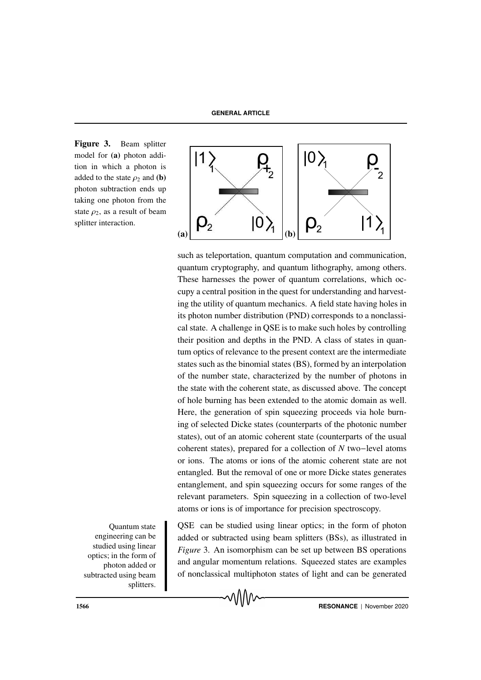Figure 3. Beam splitter model for (a) photon addition in which a photon is added to the state  $\rho_2$  and (b) photon subtraction ends up taking one photon from the state  $\rho_2$ , as a result of beam splitter interaction.



such as teleportation, quantum computation and communication, quantum cryptography, and quantum lithography, among others. These harnesses the power of quantum correlations, which occupy a central position in the quest for understanding and harvesting the utility of quantum mechanics. A field state having holes in its photon number distribution (PND) corresponds to a nonclassical state. A challenge in QSE is to make such holes by controlling their position and depths in the PND. A class of states in quantum optics of relevance to the present context are the intermediate states such as the binomial states (BS), formed by an interpolation of the number state, characterized by the number of photons in the state with the coherent state, as discussed above. The concept of hole burning has been extended to the atomic domain as well. Here, the generation of spin squeezing proceeds via hole burning of selected Dicke states (counterparts of the photonic number states), out of an atomic coherent state (counterparts of the usual coherent states), prepared for a collection of *N* two−level atoms or ions. The atoms or ions of the atomic coherent state are not entangled. But the removal of one or more Dicke states generates entanglement, and spin squeezing occurs for some ranges of the relevant parameters. Spin squeezing in a collection of two-level atoms or ions is of importance for precision spectroscopy.

QSE can be studied using linear optics; in the form of photon added or subtracted using beam splitters (BSs), as illustrated in *Figure* 3. An isomorphism can be set up between BS operations and angular momentum relations. Squeezed states are examples of nonclassical multiphoton states of light and can be generated

Quantum state engineering can be studied using linear optics; in the form of photon added or subtracted using beam splitters.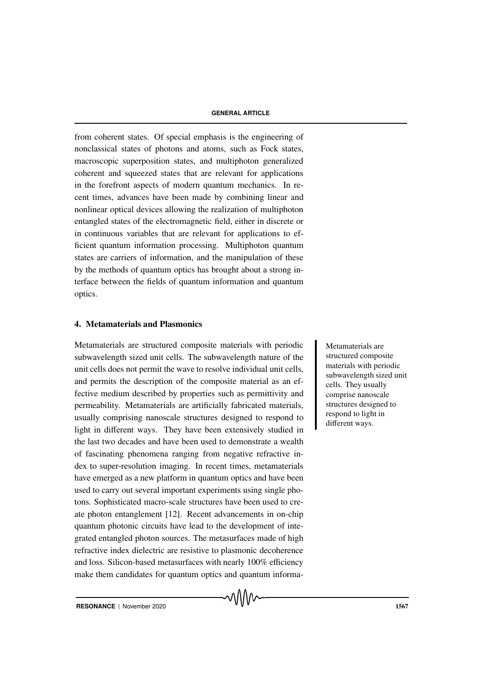from coherent states. Of special emphasis is the engineering of nonclassical states of photons and atoms, such as Fock states, macroscopic superposition states, and multiphoton generalized coherent and squeezed states that are relevant for applications in the forefront aspects of modern quantum mechanics. In recent times, advances have been made by combining linear and nonlinear optical devices allowing the realization of multiphoton entangled states of the electromagnetic field, either in discrete or in continuous variables that are relevant for applications to efficient quantum information processing. Multiphoton quantum states are carriers of information, and the manipulation of these by the methods of quantum optics has brought about a strong interface between the fields of quantum information and quantum optics.

#### 4. Metamaterials and Plasmonics

Metamaterials are structured composite materials with periodic Metamaterials are subwavelength sized unit cells. The subwavelength nature of the unit cells does not permit the wave to resolve individual unit cells, and permits the description of the composite material as an effective medium described by properties such as permittivity and permeability. Metamaterials are artificially fabricated materials, usually comprising nanoscale structures designed to respond to light in different ways. They have been extensively studied in the last two decades and have been used to demonstrate a wealth of fascinating phenomena ranging from negative refractive index to super-resolution imaging. In recent times, metamaterials have emerged as a new platform in quantum optics and have been used to carry out several important experiments using single photons. Sophisticated macro-scale structures have been used to create photon entanglement [12]. Recent advancements in on-chip quantum photonic circuits have lead to the development of integrated entangled photon sources. The metasurfaces made of high refractive index dielectric are resistive to plasmonic decoherence and loss. Silicon-based metasurfaces with nearly 100% efficiency make them candidates for quantum optics and quantum informa-

structured composite materials with periodic subwavelength sized unit cells. They usually comprise nanoscale structures designed to respond to light in different ways.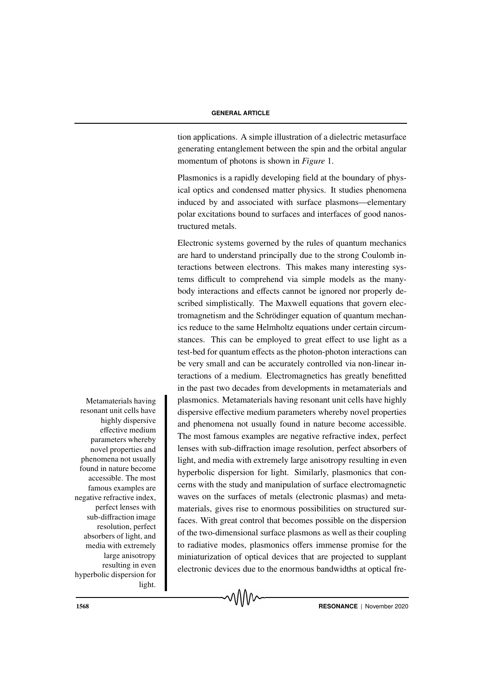tion applications. A simple illustration of a dielectric metasurface generating entanglement between the spin and the orbital angular momentum of photons is shown in *Figure* 1.

Plasmonics is a rapidly developing field at the boundary of physical optics and condensed matter physics. It studies phenomena induced by and associated with surface plasmons—elementary polar excitations bound to surfaces and interfaces of good nanostructured metals.

Electronic systems governed by the rules of quantum mechanics are hard to understand principally due to the strong Coulomb interactions between electrons. This makes many interesting systems difficult to comprehend via simple models as the manybody interactions and effects cannot be ignored nor properly described simplistically. The Maxwell equations that govern electromagnetism and the Schrödinger equation of quantum mechanics reduce to the same Helmholtz equations under certain circumstances. This can be employed to great effect to use light as a test-bed for quantum effects as the photon-photon interactions can be very small and can be accurately controlled via non-linear interactions of a medium. Electromagnetics has greatly benefitted in the past two decades from developments in metamaterials and Metamaterials having **plasmonics. Metamaterials having resonant unit cells have highly** dispersive effective medium parameters whereby novel properties and phenomena not usually found in nature become accessible. The most famous examples are negative refractive index, perfect lenses with sub-diffraction image resolution, perfect absorbers of light, and media with extremely large anisotropy resulting in even hyperbolic dispersion for light. Similarly, plasmonics that concerns with the study and manipulation of surface electromagnetic waves on the surfaces of metals (electronic plasmas) and metamaterials, gives rise to enormous possibilities on structured surfaces. With great control that becomes possible on the dispersion of the two-dimensional surface plasmons as well as their coupling to radiative modes, plasmonics offers immense promise for the miniaturization of optical devices that are projected to supplant electronic devices due to the enormous bandwidths at optical fre-

resonant unit cells have highly dispersive effective medium parameters whereby novel properties and phenomena not usually found in nature become accessible. The most famous examples are negative refractive index, perfect lenses with sub-diffraction image resolution, perfect absorbers of light, and media with extremely large anisotropy resulting in even hyperbolic dispersion for light.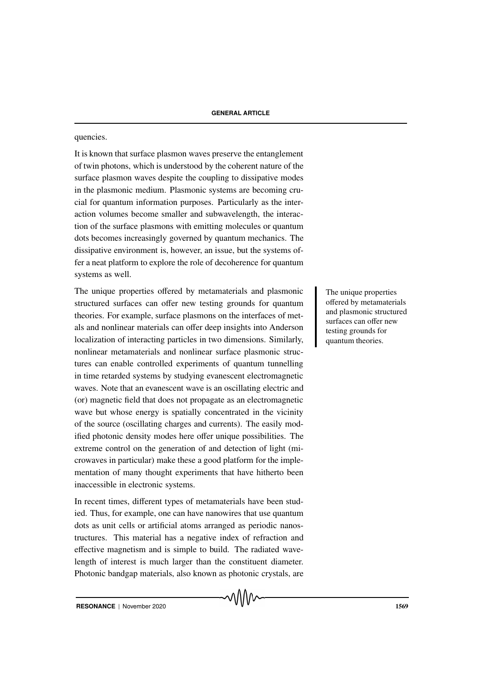# quencies.

It is known that surface plasmon waves preserve the entanglement of twin photons, which is understood by the coherent nature of the surface plasmon waves despite the coupling to dissipative modes in the plasmonic medium. Plasmonic systems are becoming crucial for quantum information purposes. Particularly as the interaction volumes become smaller and subwavelength, the interaction of the surface plasmons with emitting molecules or quantum dots becomes increasingly governed by quantum mechanics. The dissipative environment is, however, an issue, but the systems offer a neat platform to explore the role of decoherence for quantum systems as well.

The unique properties offered by metamaterials and plasmonic The unique properties structured surfaces can offer new testing grounds for quantum theories. For example, surface plasmons on the interfaces of metals and nonlinear materials can offer deep insights into Anderson localization of interacting particles in two dimensions. Similarly, nonlinear metamaterials and nonlinear surface plasmonic structures can enable controlled experiments of quantum tunnelling in time retarded systems by studying evanescent electromagnetic waves. Note that an evanescent wave is an oscillating electric and (or) magnetic field that does not propagate as an electromagnetic wave but whose energy is spatially concentrated in the vicinity of the source (oscillating charges and currents). The easily modified photonic density modes here offer unique possibilities. The extreme control on the generation of and detection of light (microwaves in particular) make these a good platform for the implementation of many thought experiments that have hitherto been inaccessible in electronic systems.

In recent times, different types of metamaterials have been studied. Thus, for example, one can have nanowires that use quantum dots as unit cells or artificial atoms arranged as periodic nanostructures. This material has a negative index of refraction and effective magnetism and is simple to build. The radiated wavelength of interest is much larger than the constituent diameter. Photonic bandgap materials, also known as photonic crystals, are offered by metamaterials and plasmonic structured surfaces can offer new testing grounds for quantum theories.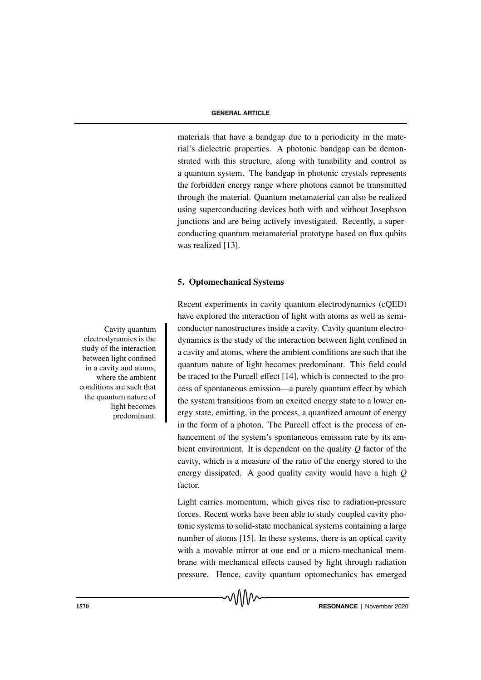materials that have a bandgap due to a periodicity in the material's dielectric properties. A photonic bandgap can be demonstrated with this structure, along with tunability and control as a quantum system. The bandgap in photonic crystals represents the forbidden energy range where photons cannot be transmitted through the material. Quantum metamaterial can also be realized using superconducting devices both with and without Josephson junctions and are being actively investigated. Recently, a superconducting quantum metamaterial prototype based on flux qubits was realized [13].

# 5. Optomechanical Systems

Recent experiments in cavity quantum electrodynamics (cQED) have explored the interaction of light with atoms as well as semi-Cavity quantum conductor nanostructures inside a cavity. Cavity quantum electrodynamics is the study of the interaction between light confined in a cavity and atoms, where the ambient conditions are such that the quantum nature of light becomes predominant. This field could be traced to the Purcell effect [14], which is connected to the process of spontaneous emission—a purely quantum effect by which the system transitions from an excited energy state to a lower energy state, emitting, in the process, a quantized amount of energy in the form of a photon. The Purcell effect is the process of enhancement of the system's spontaneous emission rate by its ambient environment. It is dependent on the quality *Q* factor of the cavity, which is a measure of the ratio of the energy stored to the energy dissipated. A good quality cavity would have a high *Q* factor.

> Light carries momentum, which gives rise to radiation-pressure forces. Recent works have been able to study coupled cavity photonic systems to solid-state mechanical systems containing a large number of atoms [15]. In these systems, there is an optical cavity with a movable mirror at one end or a micro-mechanical membrane with mechanical effects caused by light through radiation pressure. Hence, cavity quantum optomechanics has emerged

electrodynamics is the study of the interaction between light confined in a cavity and atoms, where the ambient conditions are such that the quantum nature of light becomes predominant.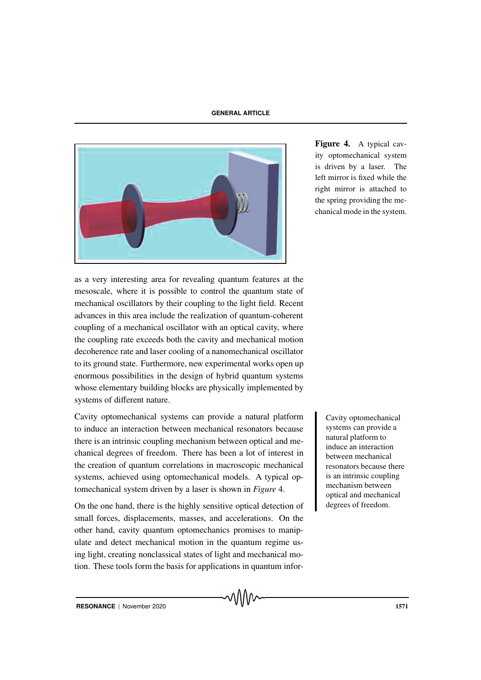

Figure 4. A typical cavity optomechanical system is driven by a laser. The left mirror is fixed while the right mirror is attached to the spring providing the mechanical mode in the system.

as a very interesting area for revealing quantum features at the mesoscale, where it is possible to control the quantum state of mechanical oscillators by their coupling to the light field. Recent advances in this area include the realization of quantum-coherent coupling of a mechanical oscillator with an optical cavity, where the coupling rate exceeds both the cavity and mechanical motion decoherence rate and laser cooling of a nanomechanical oscillator to its ground state. Furthermore, new experimental works open up enormous possibilities in the design of hybrid quantum systems whose elementary building blocks are physically implemented by systems of different nature.

Cavity optomechanical systems can provide a natural platform Cavity optomechanical to induce an interaction between mechanical resonators because there is an intrinsic coupling mechanism between optical and mechanical degrees of freedom. There has been a lot of interest in the creation of quantum correlations in macroscopic mechanical systems, achieved using optomechanical models. A typical optomechanical system driven by a laser is shown in *Figure* 4.

On the one hand, there is the highly sensitive optical detection of small forces, displacements, masses, and accelerations. On the other hand, cavity quantum optomechanics promises to manipulate and detect mechanical motion in the quantum regime using light, creating nonclassical states of light and mechanical motion. These tools form the basis for applications in quantum inforsystems can provide a natural platform to induce an interaction between mechanical resonators because there is an intrinsic coupling mechanism between optical and mechanical degrees of freedom.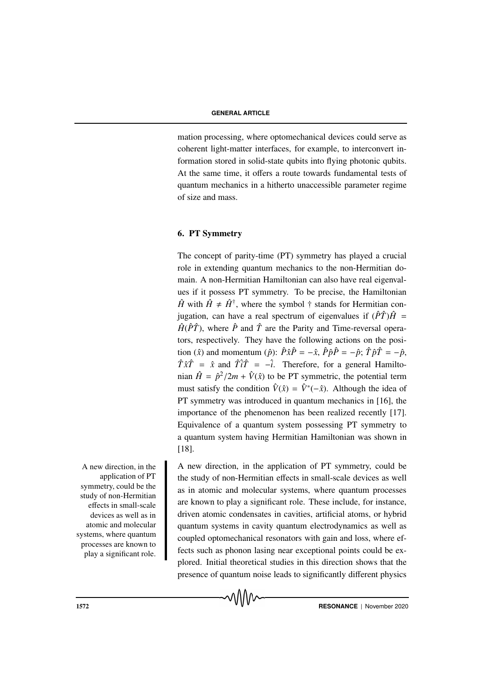mation processing, where optomechanical devices could serve as coherent light-matter interfaces, for example, to interconvert information stored in solid-state qubits into flying photonic qubits. At the same time, it offers a route towards fundamental tests of quantum mechanics in a hitherto unaccessible parameter regime of size and mass.

# 6. PT Symmetry

The concept of parity-time (PT) symmetry has played a crucial role in extending quantum mechanics to the non-Hermitian domain. A non-Hermitian Hamiltonian can also have real eigenvalues if it possess PT symmetry. To be precise, the Hamiltonian  $\hat{H}$  with  $\hat{H} \neq \hat{H}^{\dagger}$ , where the symbol  $\dagger$  stands for Hermitian conjugation, can have a real spectrum of eigenvalues if  $(\hat{P}\hat{T})\hat{H}$  =  $\hat{H}(\hat{P}\hat{T})$ , where  $\hat{P}$  and  $\hat{T}$  are the Parity and Time-reversal operators, respectively. They have the following actions on the position  $(\hat{x})$  and momentum  $(\hat{p})$ :  $\hat{P}\hat{x}\hat{P} = -\hat{x}$ ,  $\hat{P}\hat{p}\hat{P} = -\hat{p}$ ;  $\hat{T}\hat{p}\hat{T} = -\hat{p}$ ,  $\hat{T}\hat{x}\hat{T} = \hat{x}$  and  $\hat{T}\hat{i}\hat{T} = -\hat{i}$ . Therefore, for a general Hamiltonian  $\hat{H} = \hat{p}^2/2m + \hat{V}(\hat{x})$  to be PT symmetric, the potential term must satisfy the condition  $\hat{V}(\hat{x}) = \hat{V}^*(-\hat{x})$ . Although the idea of PT symmetry was introduced in quantum mechanics in [16], the importance of the phenomenon has been realized recently [17]. Equivalence of a quantum system possessing PT symmetry to a quantum system having Hermitian Hamiltonian was shown in [18].

A new direction, in the application of PT symmetry, could be the study of non-Hermitian effects in small-scale devices as well as in atomic and molecular systems, where quantum processes are known to play a significant role.

A new direction, in the application of PT symmetry, could be the study of non-Hermitian effects in small-scale devices as well as in atomic and molecular systems, where quantum processes are known to play a significant role. These include, for instance, driven atomic condensates in cavities, artificial atoms, or hybrid quantum systems in cavity quantum electrodynamics as well as coupled optomechanical resonators with gain and loss, where effects such as phonon lasing near exceptional points could be explored. Initial theoretical studies in this direction shows that the presence of quantum noise leads to significantly different physics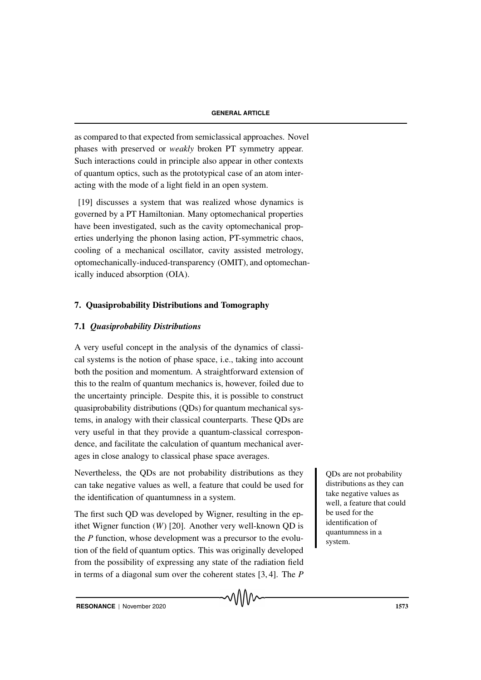as compared to that expected from semiclassical approaches. Novel phases with preserved or *weakly* broken PT symmetry appear. Such interactions could in principle also appear in other contexts of quantum optics, such as the prototypical case of an atom interacting with the mode of a light field in an open system.

[19] discusses a system that was realized whose dynamics is governed by a PT Hamiltonian. Many optomechanical properties have been investigated, such as the cavity optomechanical properties underlying the phonon lasing action, PT-symmetric chaos, cooling of a mechanical oscillator, cavity assisted metrology, optomechanically-induced-transparency (OMIT), and optomechanically induced absorption (OIA).

# 7. Quasiprobability Distributions and Tomography

# 7.1 *Quasiprobability Distributions*

A very useful concept in the analysis of the dynamics of classical systems is the notion of phase space, i.e., taking into account both the position and momentum. A straightforward extension of this to the realm of quantum mechanics is, however, foiled due to the uncertainty principle. Despite this, it is possible to construct quasiprobability distributions (QDs) for quantum mechanical systems, in analogy with their classical counterparts. These QDs are very useful in that they provide a quantum-classical correspondence, and facilitate the calculation of quantum mechanical averages in close analogy to classical phase space averages.

Nevertheless, the QDs are not probability distributions as they QDs are not probability can take negative values as well, a feature that could be used for the identification of quantumness in a system.

The first such QD was developed by Wigner, resulting in the epithet Wigner function (*W*) [20]. Another very well-known QD is the *P* function, whose development was a precursor to the evolution of the field of quantum optics. This was originally developed from the possibility of expressing any state of the radiation field in terms of a diagonal sum over the coherent states [3, 4]. The *P* distributions as they can take negative values as well, a feature that could be used for the identification of quantumness in a system.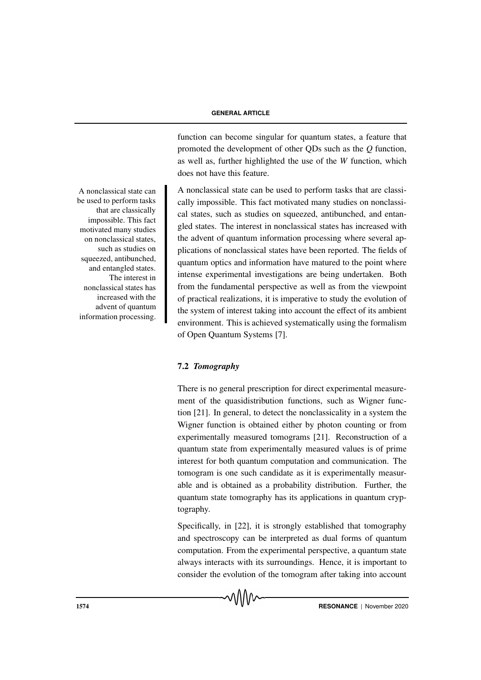function can become singular for quantum states, a feature that promoted the development of other QDs such as the *Q* function, as well as, further highlighted the use of the *W* function, which does not have this feature.

nonclassical state can be used to perform tasks that are classically impossible. This fact motivated many studies on nonclassical states, such as studies on squeezed, antibunched, and entangled states. The interest in nonclassical states has increased with the advent of quantum information processing where several applications of nonclassical states have been reported. The fields of quantum optics and information have matured to the point where intense experimental investigations are being undertaken. Both from the fundamental perspective as well as from the viewpoint of practical realizations, it is imperative to study the evolution of the system of interest taking into account the effect of its ambient environment. This is achieved systematically using the formalism of Open Quantum Systems [7].

# 7.2 *Tomography*

There is no general prescription for direct experimental measurement of the quasidistribution functions, such as Wigner function [21]. In general, to detect the nonclassicality in a system the Wigner function is obtained either by photon counting or from experimentally measured tomograms [21]. Reconstruction of a quantum state from experimentally measured values is of prime interest for both quantum computation and communication. The tomogram is one such candidate as it is experimentally measurable and is obtained as a probability distribution. Further, the quantum state tomography has its applications in quantum cryptography.

Specifically, in [22], it is strongly established that tomography and spectroscopy can be interpreted as dual forms of quantum computation. From the experimental perspective, a quantum state always interacts with its surroundings. Hence, it is important to consider the evolution of the tomogram after taking into account

A nonclassical state can be used to perform tasks that are classically impossible. This fact motivated many studies on nonclassical states, such as studies on squeezed, antibunched, and entangled states. The interest in nonclassical states has increased with the advent of quantum information processing.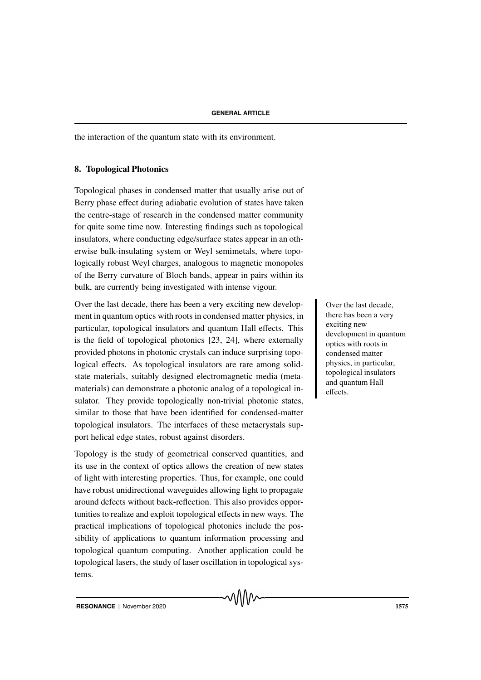the interaction of the quantum state with its environment.

# 8. Topological Photonics

Topological phases in condensed matter that usually arise out of Berry phase effect during adiabatic evolution of states have taken the centre-stage of research in the condensed matter community for quite some time now. Interesting findings such as topological insulators, where conducting edge/surface states appear in an otherwise bulk-insulating system or Weyl semimetals, where topologically robust Weyl charges, analogous to magnetic monopoles of the Berry curvature of Bloch bands, appear in pairs within its bulk, are currently being investigated with intense vigour.

Over the last decade, there has been a very exciting new develop-<br>Over the last decade, ment in quantum optics with roots in condensed matter physics, in particular, topological insulators and quantum Hall effects. This is the field of topological photonics [23, 24], where externally provided photons in photonic crystals can induce surprising topological effects. As topological insulators are rare among solidstate materials, suitably designed electromagnetic media (metamaterials) can demonstrate a photonic analog of a topological insulator. They provide topologically non-trivial photonic states, similar to those that have been identified for condensed-matter topological insulators. The interfaces of these metacrystals support helical edge states, robust against disorders.

Topology is the study of geometrical conserved quantities, and its use in the context of optics allows the creation of new states of light with interesting properties. Thus, for example, one could have robust unidirectional waveguides allowing light to propagate around defects without back-reflection. This also provides opportunities to realize and exploit topological effects in new ways. The practical implications of topological photonics include the possibility of applications to quantum information processing and topological quantum computing. Another application could be topological lasers, the study of laser oscillation in topological systems.

there has been a very exciting new development in quantum optics with roots in condensed matter physics, in particular, topological insulators and quantum Hall effects.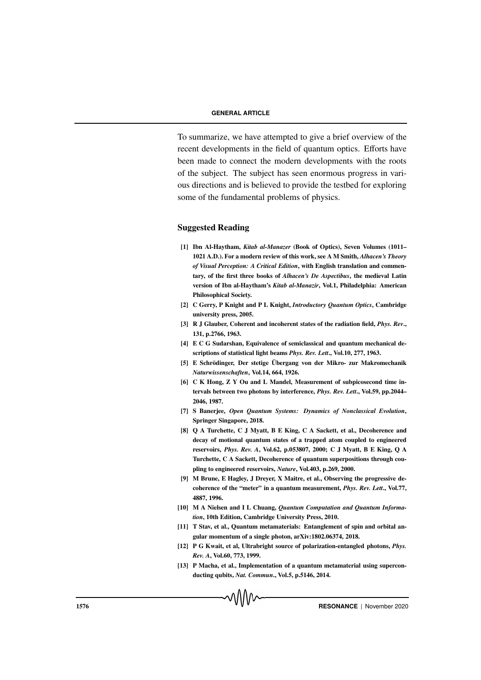To summarize, we have attempted to give a brief overview of the recent developments in the field of quantum optics. Efforts have been made to connect the modern developments with the roots of the subject. The subject has seen enormous progress in various directions and is believed to provide the testbed for exploring some of the fundamental problems of physics.

#### Suggested Reading

- [1] Ibn Al-Haytham, *Kitab al-Manazer* (Book of Optics), Seven Volumes (1011– 1021 A.D.). For a modern review of this work, see A M Smith, *Alhacen's Theory of Visual Perception: A Critical Edition*, with English translation and commentary, of the first three books of *Alhacen's De Aspectibus*, the medieval Latin version of Ibn al-Haytham's *Kitab al-Manazir*, Vol.1, Philadelphia: American Philosophical Society.
- [2] C Gerry, P Knight and P L Knight, *Introductory Quantum Optics*, Cambridge university press, 2005.
- [3] R J Glauber, Coherent and incoherent states of the radiation field, *Phys. Rev*., 131, p.2766, 1963.
- [4] E C G Sudarshan, Equivalence of semiclassical and quantum mechanical descriptions of statistical light beams *Phys. Rev. Lett*., Vol.10, 277, 1963.
- [5] E Schrödinger, Der stetige Übergang von der Mikro- zur Makromechanik *Naturwissenschaften*, Vol.14, 664, 1926.
- [6] C K Hong, Z Y Ou and L Mandel, Measurement of subpicosecond time intervals between two photons by interference, *Phys. Rev. Lett*., Vol.59, pp.2044– 2046, 1987.
- [7] S Banerjee, *Open Quantum Systems: Dynamics of Nonclassical Evolution*, Springer Singapore, 2018.
- [8] Q A Turchette, C J Myatt, B E King, C A Sackett, et al., Decoherence and decay of motional quantum states of a trapped atom coupled to engineered reservoirs, *Phys. Rev. A*, Vol.62, p.053807, 2000; C J Myatt, B E King, Q A Turchette, C A Sackett, Decoherence of quantum superpositions through coupling to engineered reservoirs, *Nature*, Vol.403, p.269, 2000.
- [9] M Brune, E Hagley, J Dreyer, X Maitre, et al., Observing the progressive decoherence of the "meter" in a quantum measurement, *Phys. Rev. Lett*., Vol.77, 4887, 1996.
- [10] M A Nielsen and I L Chuang, *Quantum Computation and Quantum Information*, 10th Edition, Cambridge University Press, 2010.
- [11] T Stav, et al., Quantum metamaterials: Entanglement of spin and orbital angular momentum of a single photon, arXiv:1802.06374, 2018.
- [12] P G Kwait, et al, Ultrabright source of polarization-entangled photons, *Phys. Rev. A*, Vol.60, 773, 1999.
- [13] P Macha, et al., Implementation of a quantum metamaterial using superconducting qubits, *Nat. Commun*., Vol.5, p.5146, 2014.